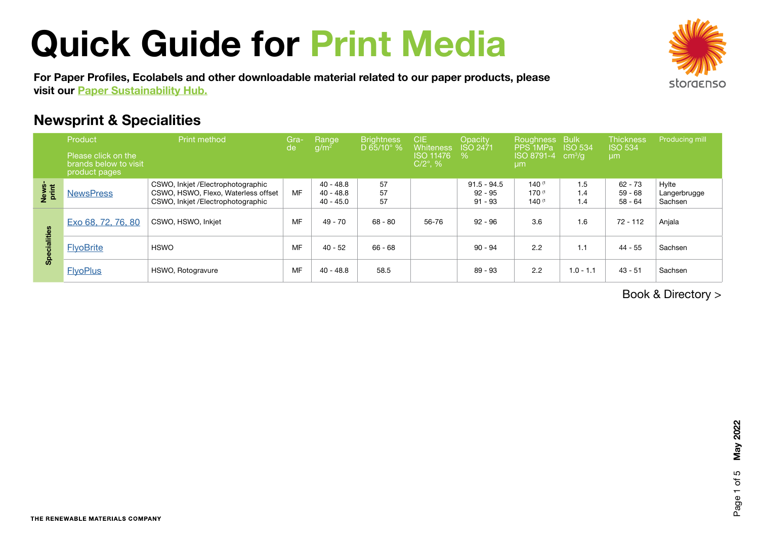# Quick Guide for Print Media

For Paper Profiles, Ecolabels and other downloadable material related to our paper products, please visit our [Paper Sustainability Hub.](https://info.storaenso.com/paper-sustainability-hub?_gl=1*t1waxi*_ga*NzAzODk5MjUxLjE2MDI4MzA1Njk.*_ga_VGEMW7TFN1*MTY0NTA4ODAzOS42OTQuMS4xNjQ1MDkxMDQ1LjU1)

#### Newsprint & Specialities

|                | Product<br>Please click on the<br>brands below to visit<br>product pages | Print method                                                                                                  | Gra-<br>de | Range<br>g/m <sup>2</sup>                 | <b>Brightness</b><br>D 65/10° % | <b>CIE</b><br>Whiteness<br><b>ISO 11476</b><br>$C/2^{\circ}$ , % | Opacity<br><b>ISO 2471</b><br>$\%$      | Roughness,<br>PPS 1MPa<br>ISO 8791-4<br>µm | <b>Bulk</b><br><b>ISO 534</b><br>cm <sup>3</sup> /q | <b>Thickness</b><br><b>ISO 534</b><br>µm | Producing mill                   |
|----------------|--------------------------------------------------------------------------|---------------------------------------------------------------------------------------------------------------|------------|-------------------------------------------|---------------------------------|------------------------------------------------------------------|-----------------------------------------|--------------------------------------------|-----------------------------------------------------|------------------------------------------|----------------------------------|
| News-<br>print | <b>NewsPress</b>                                                         | CSWO, Inkjet /Electrophotographic<br>CSWO, HSWO, Flexo, Waterless offset<br>CSWO, Inkjet /Electrophotographic | MF         | $40 - 48.8$<br>$40 - 48.8$<br>$40 - 45.0$ | 57<br>57<br>57                  |                                                                  | $91.5 - 94.5$<br>$92 - 95$<br>$91 - 93$ | 140 <sup>(1</sup><br>170 (1<br>$140^{(1)}$ | 1.5<br>1.4<br>1.4                                   | 62 - 73<br>$59 - 68$<br>58 - 64          | Hylte<br>Langerbrugge<br>Sachsen |
| lities<br>န္တိ | Exo 68, 72, 76, 80                                                       | CSWO, HSWO, Inkiet                                                                                            |            | 49 - 70                                   | $68 - 80$                       | 56-76                                                            | $92 - 96$                               | 3.6                                        | 1.6                                                 | $72 - 112$                               | Anjala                           |
|                | <b>FlyoBrite</b>                                                         | <b>HSWO</b>                                                                                                   | MF         | $40 - 52$                                 | $66 - 68$                       |                                                                  | $90 - 94$                               | 2.2                                        | 1.1                                                 | 44 - 55                                  | Sachsen                          |
|                | <b>FlyoPlus</b>                                                          | HSWO, Rotogravure                                                                                             |            | $40 - 48.8$                               | 58.5                            |                                                                  | 89 - 93                                 | 2.2                                        | $1.0 - 1.1$                                         | $43 - 51$                                | Sachsen                          |
|                |                                                                          |                                                                                                               |            |                                           |                                 |                                                                  |                                         |                                            |                                                     |                                          | .                                |

[Book & Directory >](#page-1-0)

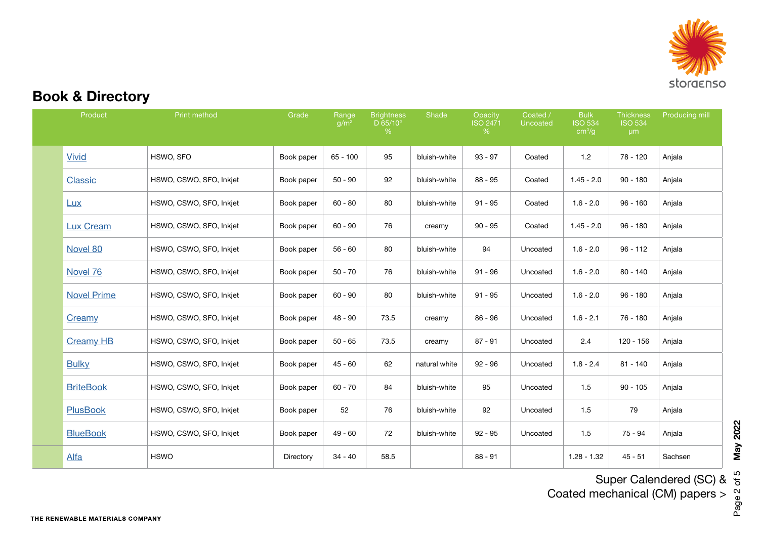

### <span id="page-1-0"></span>Book & Directory

| Product            | Print method            | Grade      | Range<br>$g/m^2$ | <b>Brightness</b><br>D 65/10°<br>% | Shade         | Opacity<br><b>ISO 2471</b><br>% | Coated /<br>Uncoated | <b>Bulk</b><br><b>ISO 534</b><br>cm <sup>3</sup> /g | <b>Thickness</b><br><b>ISO 534</b><br>µm | Producing mill |
|--------------------|-------------------------|------------|------------------|------------------------------------|---------------|---------------------------------|----------------------|-----------------------------------------------------|------------------------------------------|----------------|
| <b>Vivid</b>       | HSWO, SFO               | Book paper | $65 - 100$       | 95                                 | bluish-white  | $93 - 97$                       | Coated               | 1.2                                                 | 78 - 120                                 | Anjala         |
| <b>Classic</b>     | HSWO, CSWO, SFO, Inkjet | Book paper | $50 - 90$        | 92                                 | bluish-white  | $88 - 95$                       | Coated               | $1.45 - 2.0$                                        | $90 - 180$                               | Anjala         |
| <u>Lux</u>         | HSWO, CSWO, SFO, Inkjet | Book paper | $60 - 80$        | 80                                 | bluish-white  | $91 - 95$                       | Coated               | $1.6 - 2.0$                                         | $96 - 160$                               | Anjala         |
| <b>Lux Cream</b>   | HSWO, CSWO, SFO, Inkjet | Book paper | $60 - 90$        | 76                                 | creamy        | $90 - 95$                       | Coated               | $1.45 - 2.0$                                        | $96 - 180$                               | Anjala         |
| Novel 80           | HSWO, CSWO, SFO, Inkjet | Book paper | $56 - 60$        | 80                                 | bluish-white  | 94                              | Uncoated             | $1.6 - 2.0$                                         | $96 - 112$                               | Anjala         |
| Novel 76           | HSWO, CSWO, SFO, Inkjet | Book paper | $50 - 70$        | 76                                 | bluish-white  | $91 - 96$                       | Uncoated             | $1.6 - 2.0$                                         | $80 - 140$                               | Anjala         |
| <b>Novel Prime</b> | HSWO, CSWO, SFO, Inkjet | Book paper | $60 - 90$        | 80                                 | bluish-white  | $91 - 95$                       | Uncoated             | $1.6 - 2.0$                                         | $96 - 180$                               | Anjala         |
| Creamy             | HSWO, CSWO, SFO, Inkjet | Book paper | $48 - 90$        | 73.5                               | creamy        | $86 - 96$                       | Uncoated             | $1.6 - 2.1$                                         | 76 - 180                                 | Anjala         |
| <b>Creamy HB</b>   | HSWO, CSWO, SFO, Inkjet | Book paper | $50 - 65$        | 73.5                               | creamy        | $87 - 91$                       | Uncoated             | 2.4                                                 | $120 - 156$                              | Anjala         |
| <b>Bulky</b>       | HSWO, CSWO, SFO, Inkjet | Book paper | $45 - 60$        | 62                                 | natural white | $92 - 96$                       | Uncoated             | $1.8 - 2.4$                                         | $81 - 140$                               | Anjala         |
| <b>BriteBook</b>   | HSWO, CSWO, SFO, Inkjet | Book paper | $60 - 70$        | 84                                 | bluish-white  | 95                              | Uncoated             | 1.5                                                 | $90 - 105$                               | Anjala         |
| <b>PlusBook</b>    | HSWO, CSWO, SFO, Inkjet | Book paper | 52               | 76                                 | bluish-white  | 92                              | Uncoated             | 1.5                                                 | 79                                       | Anjala         |
| <b>BlueBook</b>    | HSWO, CSWO, SFO, Inkjet | Book paper | $49 - 60$        | 72                                 | bluish-white  | $92 - 95$                       | Uncoated             | 1.5                                                 | $75 - 94$                                | Anjala         |
| Alfa               | <b>HSWO</b>             | Directory  | $34 - 40$        | 58.5                               |               | $88 - 91$                       |                      | $1.28 - 1.32$                                       | $45 - 51$                                | Sachsen        |

Super Calendered (SC) &

[Coated mechanical \(CM\) papers >](#page-2-0)

**May 2022**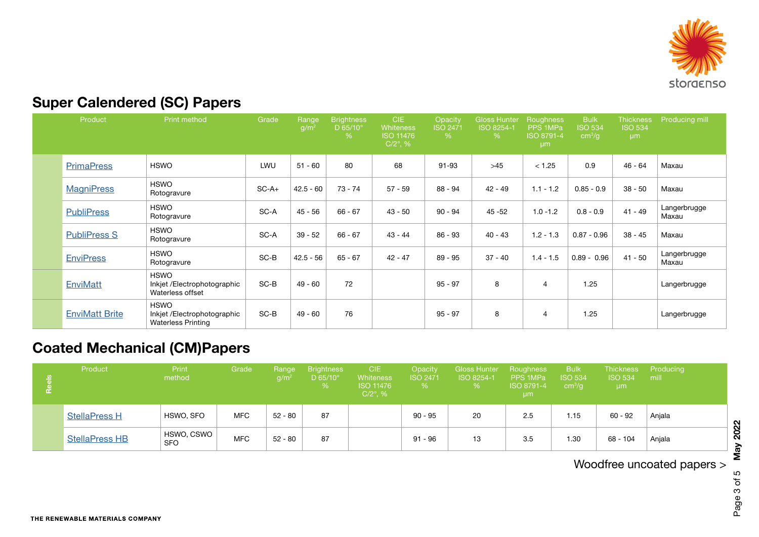

### <span id="page-2-0"></span>Super Calendered (SC) Papers

|  | Product               | Print method                                                            | Grade   | Range<br>g/m <sup>2</sup> | <b>Brightness</b><br>D 65/10°<br>% | CIE.<br>Whiteness<br><b>ISO 11476</b><br>$C/2^{\circ}$ , % | Opacity<br><b>ISO 2471</b><br>% | <b>Gloss Hunter</b><br>ISO 8254-1<br>% | <b>Roughness</b><br>PPS 1MPa<br>ISO 8791-4<br>µm | <b>Bulk</b><br><b>ISO 534</b><br>cm <sup>3</sup> /g | <b>Thickness</b><br><b>ISO 534</b><br>µm | Producing mill        |
|--|-----------------------|-------------------------------------------------------------------------|---------|---------------------------|------------------------------------|------------------------------------------------------------|---------------------------------|----------------------------------------|--------------------------------------------------|-----------------------------------------------------|------------------------------------------|-----------------------|
|  | <b>PrimaPress</b>     | <b>HSWO</b>                                                             | LWU     | $51 - 60$                 | 80                                 | 68                                                         | $91 - 93$                       | $>45$                                  | < 1.25                                           | 0.9                                                 | $46 - 64$                                | Maxau                 |
|  | <b>MagniPress</b>     | <b>HSWO</b><br>Rotogravure                                              | $SC-A+$ | $42.5 - 60$               | $73 - 74$                          | $57 - 59$                                                  | $88 - 94$                       | $42 - 49$                              | $1.1 - 1.2$                                      | $0.85 - 0.9$                                        | $38 - 50$                                | Maxau                 |
|  | <b>PubliPress</b>     | <b>HSWO</b><br>Rotogravure                                              | SC-A    | $45 - 56$                 | $66 - 67$                          | $43 - 50$                                                  | $90 - 94$                       | $45 - 52$                              | $1.0 - 1.2$                                      | $0.8 - 0.9$                                         | $41 - 49$                                | Langerbrugge<br>Maxau |
|  | <b>PubliPress S</b>   | <b>HSWO</b><br>Rotogravure                                              | SC-A    | $39 - 52$                 | $66 - 67$                          | $43 - 44$                                                  | $86 - 93$                       | $40 - 43$                              | $1.2 - 1.3$                                      | $0.87 - 0.96$                                       | $38 - 45$                                | Maxau                 |
|  | <b>EnviPress</b>      | <b>HSWO</b><br>Rotogravure                                              | SC-B    | $42.5 - 56$               | $65 - 67$                          | $42 - 47$                                                  | $89 - 95$                       | $37 - 40$                              | $1.4 - 1.5$                                      | $0.89 - 0.96$                                       | $41 - 50$                                | Langerbrugge<br>Maxau |
|  | EnviMatt              | <b>HSWO</b><br>Inkjet /Electrophotographic<br>Waterless offset          | $SC-B$  | $49 - 60$                 | 72                                 |                                                            | $95 - 97$                       | 8                                      | $\overline{4}$                                   | 1.25                                                |                                          | Langerbrugge          |
|  | <b>EnviMatt Brite</b> | <b>HSWO</b><br>Inkjet /Electrophotographic<br><b>Waterless Printing</b> | $SC-B$  | $49 - 60$                 | 76                                 |                                                            | $95 - 97$                       | 8                                      | $\overline{4}$                                   | 1.25                                                |                                          | Langerbrugge          |

## Coated Mechanical (CM)Papers

| Product               | Print<br>method          | Grade      | Range<br>q/m <sup>2</sup> | <b>Brightness</b><br>D 65/10 $^{\circ}$ | <b>CIE</b><br>Whiteness<br><b>ISO 11476</b><br>$C/2^{\circ}$ , % | Opacity<br><b>ISO 2471</b><br>$\%$ . | <b>Gloss Hunter</b><br>ISO 8254-1<br>℅ | Roughness<br>l PPS 1MPa <sup>1</sup><br>ISO 8791-4<br>µm | <b>Bulk</b><br><b>ISO 534</b><br>cm <sup>3</sup> /g | Thickness Producing<br><b>ISO 534</b><br>µm | mill   |
|-----------------------|--------------------------|------------|---------------------------|-----------------------------------------|------------------------------------------------------------------|--------------------------------------|----------------------------------------|----------------------------------------------------------|-----------------------------------------------------|---------------------------------------------|--------|
| <b>StellaPress H</b>  | HSWO, SFO                | <b>MFC</b> | $52 - 80$                 | 87                                      |                                                                  | $90 - 95$                            | 20                                     | 2.5                                                      | 1.15                                                | $60 - 92$                                   | Anjala |
| <b>StellaPress HB</b> | HSWO, CSWO<br><b>SFO</b> | <b>MFC</b> | $52 - 80$                 | 87                                      |                                                                  | $91 - 96$                            | 13                                     | 3.5                                                      | 1.30                                                | 68 - 104                                    | Anjala |

[Woodfree uncoated papers >](#page-3-0)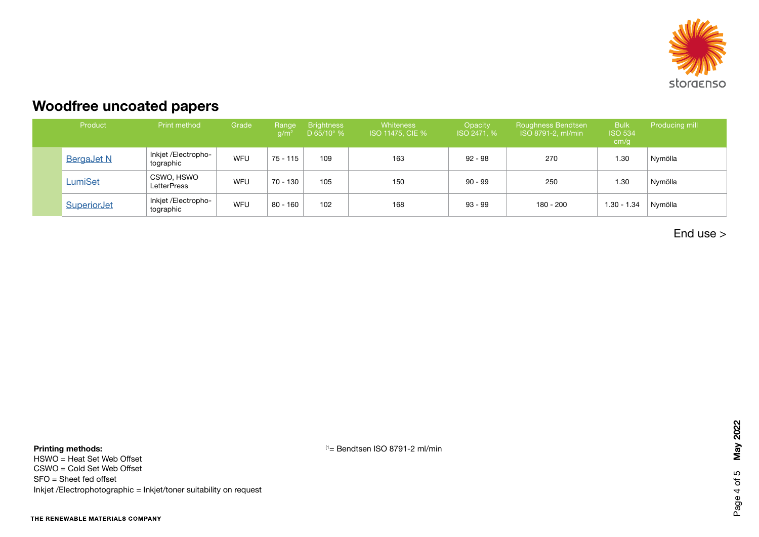

### <span id="page-3-0"></span>Woodfree uncoated papers

| Product           | <b>Print method</b>              | Grade      | Range<br>a/m <sup>2</sup> | <b>Brightness</b><br>D 65/10° % | Whiteness<br><b>ISO 11475, CIE %</b> | Opacity<br>ISO 2471, % | Roughness Bendtsen<br>ISO 8791-2, ml/min | <b>Bulk</b><br><b>ISO 534</b><br>cm/g | Producing mill |
|-------------------|----------------------------------|------------|---------------------------|---------------------------------|--------------------------------------|------------------------|------------------------------------------|---------------------------------------|----------------|
| <b>BergaJet N</b> | Inkjet /Electropho-<br>tographic | <b>WFU</b> | $75 - 115$                | 109                             | 163                                  | $92 - 98$              | 270                                      | 1.30                                  | Nymölla        |
| LumiSet           | CSWO, HSWO<br>LetterPress        | <b>WFU</b> | 70 - 130                  | 105                             | 150                                  | $90 - 99$              | 250                                      | 1.30                                  | Nymölla        |
| SuperiorJet       | Inkjet /Electropho-<br>tographic | <b>WFU</b> | $80 - 160$                | 102                             | 168                                  | 93 - 99                | 180 - 200                                | 1.30 - 1.34                           | Nymölla        |

[End use >](#page-4-0)

Printing methods:

HSWO = Heat Set Web Offset CSWO = Cold Set Web Offset SFO = Sheet fed offset Inkjet /Electrophotographic = Inkjet/toner suitability on request  $<sup>(1)</sup>$  Bendtsen ISO 8791-2 ml/min</sup>